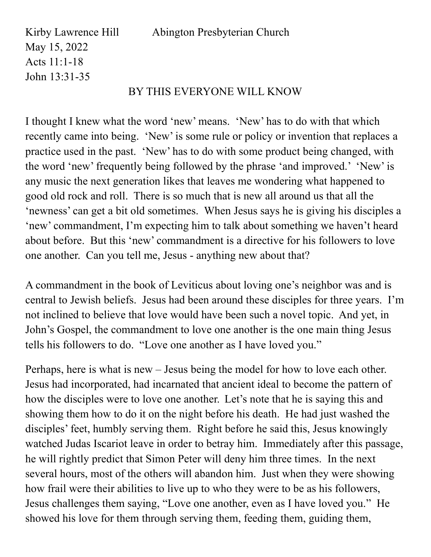Kirby Lawrence Hill Abington Presbyterian Church May 15, 2022 Acts 11:1-18 John 13:31-35 BY THIS EVERYONE WILL KNOW

## I thought I knew what the word 'new' means. 'New' has to do with that which recently came into being. 'New' is some rule or policy or invention that replaces a practice used in the past. 'New' has to do with some product being changed, with the word 'new' frequently being followed by the phrase 'and improved.' 'New' is any music the next generation likes that leaves me wondering what happened to good old rock and roll. There is so much that is new all around us that all the 'newness' can get a bit old sometimes. When Jesus says he is giving his disciples a 'new' commandment, I'm expecting him to talk about something we haven't heard about before. But this 'new' commandment is a directive for his followers to love one another. Can you tell me, Jesus - anything new about that?

A commandment in the book of Leviticus about loving one's neighbor was and is central to Jewish beliefs. Jesus had been around these disciples for three years. I'm not inclined to believe that love would have been such a novel topic. And yet, in John's Gospel, the commandment to love one another is the one main thing Jesus tells his followers to do. "Love one another as I have loved you."

Perhaps, here is what is new – Jesus being the model for how to love each other. Jesus had incorporated, had incarnated that ancient ideal to become the pattern of how the disciples were to love one another. Let's note that he is saying this and showing them how to do it on the night before his death. He had just washed the disciples' feet, humbly serving them. Right before he said this, Jesus knowingly watched Judas Iscariot leave in order to betray him. Immediately after this passage, he will rightly predict that Simon Peter will deny him three times. In the next several hours, most of the others will abandon him. Just when they were showing how frail were their abilities to live up to who they were to be as his followers, Jesus challenges them saying, "Love one another, even as I have loved you." He showed his love for them through serving them, feeding them, guiding them,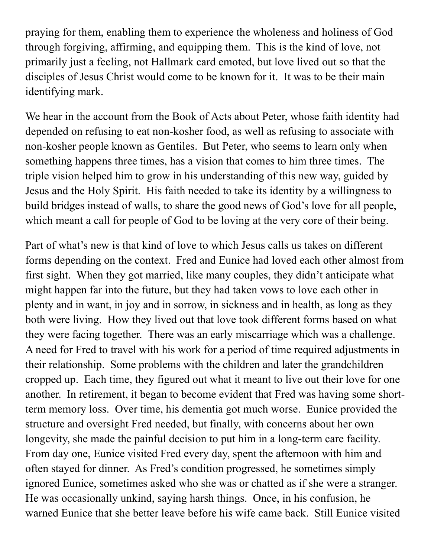praying for them, enabling them to experience the wholeness and holiness of God through forgiving, affirming, and equipping them. This is the kind of love, not primarily just a feeling, not Hallmark card emoted, but love lived out so that the disciples of Jesus Christ would come to be known for it. It was to be their main identifying mark.

We hear in the account from the Book of Acts about Peter, whose faith identity had depended on refusing to eat non-kosher food, as well as refusing to associate with non-kosher people known as Gentiles. But Peter, who seems to learn only when something happens three times, has a vision that comes to him three times. The triple vision helped him to grow in his understanding of this new way, guided by Jesus and the Holy Spirit. His faith needed to take its identity by a willingness to build bridges instead of walls, to share the good news of God's love for all people, which meant a call for people of God to be loving at the very core of their being.

Part of what's new is that kind of love to which Jesus calls us takes on different forms depending on the context. Fred and Eunice had loved each other almost from first sight. When they got married, like many couples, they didn't anticipate what might happen far into the future, but they had taken vows to love each other in plenty and in want, in joy and in sorrow, in sickness and in health, as long as they both were living. How they lived out that love took different forms based on what they were facing together. There was an early miscarriage which was a challenge. A need for Fred to travel with his work for a period of time required adjustments in their relationship. Some problems with the children and later the grandchildren cropped up. Each time, they figured out what it meant to live out their love for one another. In retirement, it began to become evident that Fred was having some shortterm memory loss. Over time, his dementia got much worse. Eunice provided the structure and oversight Fred needed, but finally, with concerns about her own longevity, she made the painful decision to put him in a long-term care facility. From day one, Eunice visited Fred every day, spent the afternoon with him and often stayed for dinner. As Fred's condition progressed, he sometimes simply ignored Eunice, sometimes asked who she was or chatted as if she were a stranger. He was occasionally unkind, saying harsh things. Once, in his confusion, he warned Eunice that she better leave before his wife came back. Still Eunice visited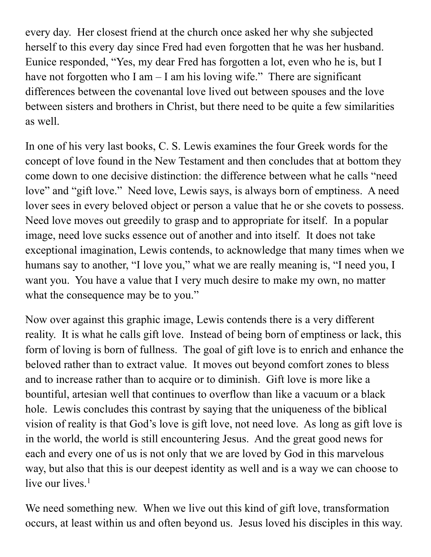every day. Her closest friend at the church once asked her why she subjected herself to this every day since Fred had even forgotten that he was her husband. Eunice responded, "Yes, my dear Fred has forgotten a lot, even who he is, but I have not forgotten who I am  $-$  I am his loving wife." There are significant differences between the covenantal love lived out between spouses and the love between sisters and brothers in Christ, but there need to be quite a few similarities as well.

In one of his very last books, C. S. Lewis examines the four Greek words for the concept of love found in the New Testament and then concludes that at bottom they come down to one decisive distinction: the difference between what he calls "need love" and "gift love." Need love, Lewis says, is always born of emptiness. A need lover sees in every beloved object or person a value that he or she covets to possess. Need love moves out greedily to grasp and to appropriate for itself. In a popular image, need love sucks essence out of another and into itself. It does not take exceptional imagination, Lewis contends, to acknowledge that many times when we humans say to another, "I love you," what we are really meaning is, "I need you, I want you. You have a value that I very much desire to make my own, no matter what the consequence may be to you."

Now over against this graphic image, Lewis contends there is a very different reality. It is what he calls gift love. Instead of being born of emptiness or lack, this form of loving is born of fullness. The goal of gift love is to enrich and enhance the beloved rather than to extract value. It moves out beyond comfort zones to bless and to increase rather than to acquire or to diminish. Gift love is more like a bountiful, artesian well that continues to overflow than like a vacuum or a black hole. Lewis concludes this contrast by saying that the uniqueness of the biblical vision of reality is that God's love is gift love, not need love. As long as gift love is in the world, the world is still encountering Jesus. And the great good news for each and every one of us is not only that we are loved by God in this marvelous way, but also that this is our deepest identity as well and is a way we can choose to live our lives.<sup>1</sup>

We need something new. When we live out this kind of gift love, transformation occurs, at least within us and often beyond us. Jesus loved his disciples in this way.